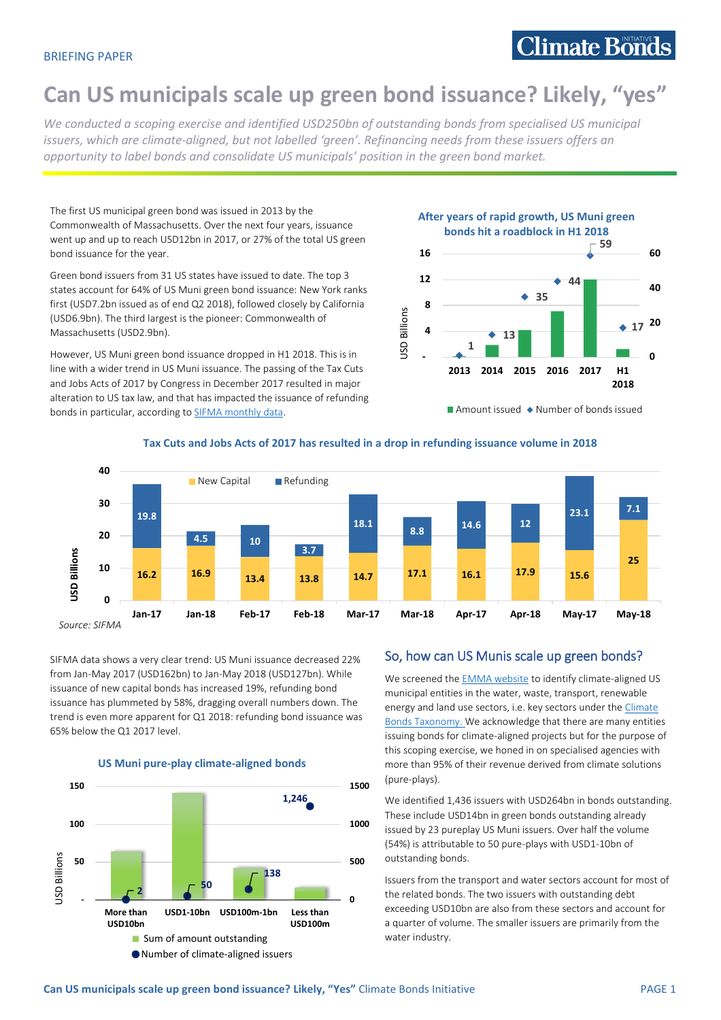# **Can US municipals scale up green bond issuance? Likely, "yes"**

*We conducted a scoping exercise and identified USD250bn of outstanding bonds from specialised US municipal issuers, which are climate-aligned, but not labelled 'green'. Refinancing needs from these issuers offers an opportunity to label bonds and consolidate US municipals' position in the green bond market.* 

The first US municipal green bond was issued in 2013 by the Commonwealth of Massachusetts. Over the next four years, issuance went up and up to reach USD12bn in 2017, or 27% of the total US green bond issuance for the year.

Green bond issuers from 31 US states have issued to date. The top 3 states account for 64% of US Muni green bond issuance: New York ranks first (USD7.2bn issued as of end Q2 2018), followed closely by California (USD6.9bn). The third largest is the pioneer: Commonwealth of Massachusetts (USD2.9bn).

However, US Muni green bond issuance dropped in H1 2018. This is in line with a wider trend in US Muni issuance. The passing of the Tax Cuts and Jobs Acts of 2017 by Congress in December 2017 resulted in major alteration to US tax law, and that has impacted the issuance of refunding bonds in particular, according to **SIFMA** monthly data.



Amount issued  $\rightarrow$  Number of bonds issued





SIFMA data shows a very clear trend: US Muni issuance decreased 22% from Jan-May 2017 (USD162bn) to Jan-May 2018 (USD127bn). While issuance of new capital bonds has increased 19%, refunding bond issuance has plummeted by 58%, dragging overall numbers down. The trend is even more apparent for Q1 2018: refunding bond issuance was 65% below the Q1 2017 level.





# So, how can US Munis scale up green bonds?

We screened the **EMMA** website to identify climate-aligned US municipal entities in the water, waste, transport, renewable energy and land use sectors, i.e. key sectors under th[e Climate](https://www.climatebonds.net/standards/taxonomy)  [Bonds Taxonomy.](https://www.climatebonds.net/standards/taxonomy) We acknowledge that there are many entities issuing bonds for climate-aligned projects but for the purpose of this scoping exercise, we honed in on specialised agencies with more than 95% of their revenue derived from climate solutions (pure-plays).

We identified 1,436 issuers with USD264bn in bonds outstanding. These include USD14bn in green bonds outstanding already issued by 23 pureplay US Muni issuers. Over half the volume (54%) is attributable to 50 pure-plays with USD1-10bn of outstanding bonds.

Issuers from the transport and water sectors account for most of the related bonds. The two issuers with outstanding debt exceeding USD10bn are also from these sectors and account for a quarter of volume. The smaller issuers are primarily from the water industry.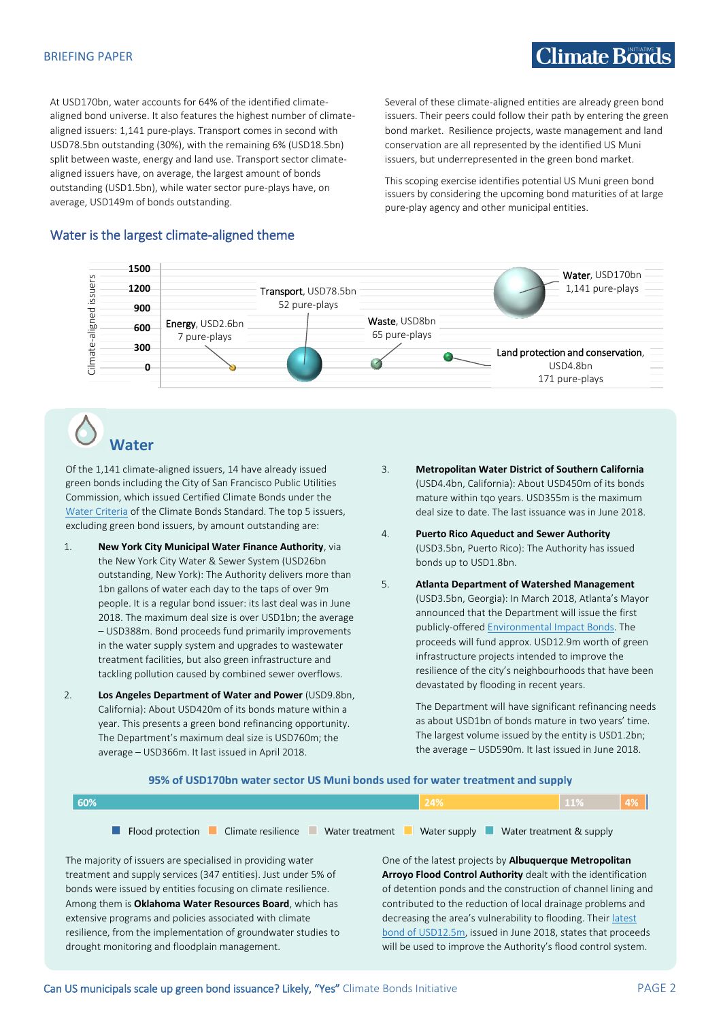#### BRIEFING PAPER

# $C$ limate Bonds

At USD170bn, water accounts for 64% of the identified climatealigned bond universe. It also features the highest number of climatealigned issuers: 1,141 pure-plays. Transport comes in second with USD78.5bn outstanding (30%), with the remaining 6% (USD18.5bn) split between waste, energy and land use. Transport sector climatealigned issuers have, on average, the largest amount of bonds outstanding (USD1.5bn), while water sector pure-plays have, on average, USD149m of bonds outstanding.

Several of these climate-aligned entities are already green bond issuers. Their peers could follow their path by entering the green bond market. Resilience projects, waste management and land conservation are all represented by the identified US Muni issuers, but underrepresented in the green bond market.

This scoping exercise identifies potential US Muni green bond issuers by considering the upcoming bond maturities of at large pure-play agency and other municipal entities.

## Water is the largest climate-aligned theme



# **Water**

Of the 1,141 climate-aligned issuers, 14 have already issued green bonds including the City of San Francisco Public Utilities Commission, which issued Certified Climate Bonds under the [Water Criteria](https://www.climatebonds.net/standard/water) of the Climate Bonds Standard. The top 5 issuers, excluding green bond issuers, by amount outstanding are:

- 1. **New York City Municipal Water Finance Authority**, via the New York City Water & Sewer System (USD26bn outstanding, New York): The Authority delivers more than 1bn gallons of water each day to the taps of over 9m people. It is a regular bond issuer: its last deal was in June 2018. The maximum deal size is over USD1bn; the average – USD388m. Bond proceeds fund primarily improvements in the water supply system and upgrades to wastewater treatment facilities, but also green infrastructure and tackling pollution caused by combined sewer overflows.
- 2. **Los Angeles Department of Water and Power** (USD9.8bn, California): About USD420m of its bonds mature within a year. This presents a green bond refinancing opportunity. The Department's maximum deal size is USD760m; the average – USD366m. It last issued in April 2018.
- 3. **Metropolitan Water District of Southern California** (USD4.4bn, California): About USD450m of its bonds mature within tqo years. USD355m is the maximum deal size to date. The last issuance was in June 2018.
- 4. **Puerto Rico Aqueduct and Sewer Authority** (USD3.5bn, Puerto Rico): The Authority has issued bonds up to USD1.8bn.
- 5. **Atlanta Department of Watershed Management** (USD3.5bn, Georgia): In March 2018, Atlanta's Mayor announced that the Department will issue the first publicly-offered **Environmental Impact Bonds**. The proceeds will fund approx. USD12.9m worth of green infrastructure projects intended to improve the resilience of the city's neighbourhoods that have been devastated by flooding in recent years.

The Department will have significant refinancing needs as about USD1bn of bonds mature in two years' time. The largest volume issued by the entity is USD1.2bn; the average – USD590m. It last issued in June 2018.

| 60%<br>24%                                                                                            | 11% | $\vert 4\% \vert$ |
|-------------------------------------------------------------------------------------------------------|-----|-------------------|
| <b>E</b> Flood protection Climate resilience Water treatment<br>Water supply Water treatment & supply |     |                   |
|                                                                                                       |     |                   |

95% of USD170bn water sector US Muni bonds used for water treatment and supply

The majority of issuers are specialised in providing water treatment and supply services (347 entities). Just under 5% of bonds were issued by entities focusing on climate resilience. Among them is **Oklahoma Water Resources Board**, which has extensive programs and policies associated with climate resilience, from the implementation of groundwater studies to drought monitoring and floodplain management.

One of the latest projects by **Albuquerque Metropolitan Arroyo Flood Control Authority** dealt with the identification of detention ponds and the construction of channel lining and contributed to the reduction of local drainage problems and decreasing the area's vulnerability to flooding. Their latest [bond of USD12.5m,](https://emma.msrb.org/ER1132685-ER886428-ER1287071.pdf) issued in June 2018, states that proceeds will be used to improve the Authority's flood control system.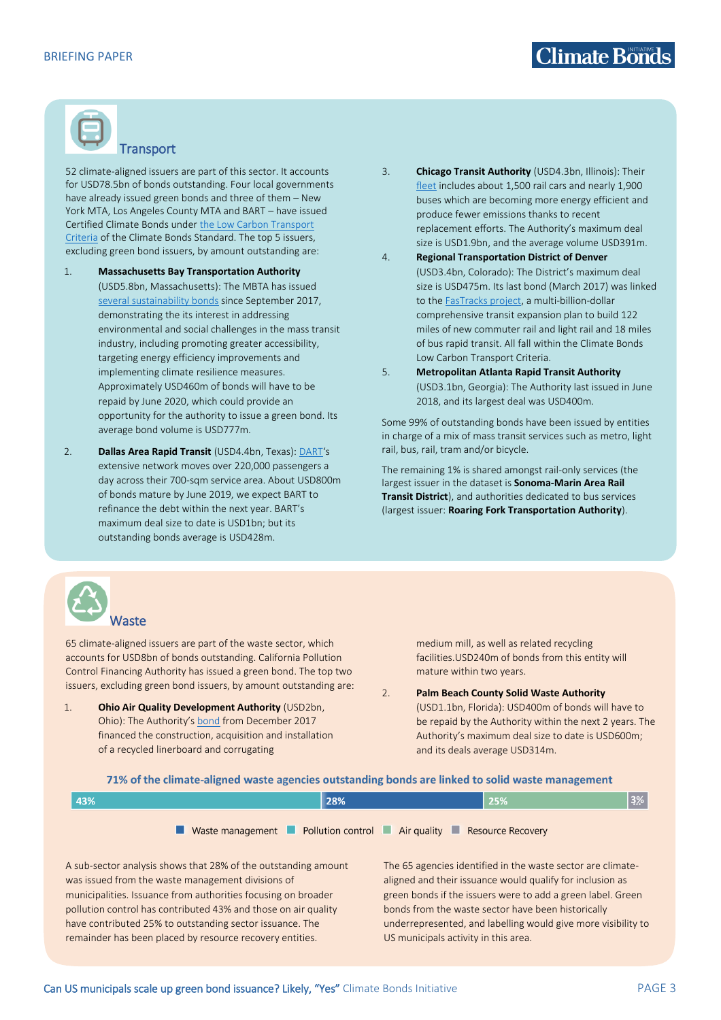

# **Transport**

52 climate-aligned issuers are part of this sector. It accounts for USD78.5bn of bonds outstanding. Four local governments have already issued green bonds and three of them – New York MTA, Los Angeles County MTA and BART – have issued Certified Climate Bonds under [the Low Carbon Transport](https://www.climatebonds.net/standard/transport)  [Criteria](https://www.climatebonds.net/standard/transport) of the Climate Bonds Standard. The top 5 issuers, excluding green bond issuers, by amount outstanding are:

- 1. **Massachusetts Bay Transportation Authority** (USD5.8bn, Massachusetts): The MBTA has issued [several sustainability bonds](https://www.mass.gov/files/documents/2017/10/12/MBTA_DebtIssuance_091117L.pdf) since September 2017, demonstrating the its interest in addressing environmental and social challenges in the mass transit industry, including promoting greater accessibility, targeting energy efficiency improvements and implementing climate resilience measures. Approximately USD460m of bonds will have to be repaid by June 2020, which could provide an opportunity for the authority to issue a green bond. Its average bond volume is USD777m.
- 2. **Dallas Area Rapid Transit** (USD4.4bn, Texas): [DART](http://www.dart.org/about/aboutdart.asp)'s extensive network moves over 220,000 passengers a day across their 700-sqm service area. About USD800m of bonds mature by June 2019, we expect BART to refinance the debt within the next year. BART's maximum deal size to date is USD1bn; but its outstanding bonds average is USD428m.
- 3. **Chicago Transit Authority** (USD4.3bn, Illinois): Their [fleet](https://www.transitchicago.com/environment/) includes about 1,500 rail cars and nearly 1,900 buses which are becoming more energy efficient and produce fewer emissions thanks to recent replacement efforts. The Authority's maximum deal size is USD1.9bn, and the average volume USD391m.
- 4. **Regional Transportation District of Denver** (USD3.4bn, Colorado): The District's maximum deal size is USD475m. Its last bond (March 2017) was linked to th[e FasTracks project,](http://www.rtd-fastracks.com/main_26) a multi-billion-dollar comprehensive transit expansion plan to build 122 miles of new commuter rail and light rail and 18 miles of bus rapid transit. All fall within the Climate Bonds Low Carbon Transport Criteria.
- 5. **Metropolitan Atlanta Rapid Transit Authority** (USD3.1bn, Georgia): The Authority last issued in June 2018, and its largest deal was USD400m.

Some 99% of outstanding bonds have been issued by entities in charge of a mix of mass transit services such as metro, light rail, bus, rail, tram and/or bicycle.

The remaining 1% is shared amongst rail-only services (the largest issuer in the dataset is **Sonoma-Marin Area Rail Transit District**), and authorities dedicated to bus services (largest issuer: **Roaring Fork Transportation Authority**).



65 climate-aligned issuers are part of the waste sector, which accounts for USD8bn of bonds outstanding. California Pollution Control Financing Authority has issued a green bond. The top two issuers, excluding green bond issuers, by amount outstanding are:

1. **Ohio Air Quality Development Authority** (USD2bn, Ohio): The Authority's [bond](https://emma.msrb.org/ER1094873-ER856764-ER1257402.pdf) from December 2017 financed the construction, acquisition and installation of a recycled linerboard and corrugating

medium mill, as well as related recycling facilities.USD240m of bonds from this entity will mature within two years.

2. **Palm Beach County Solid Waste Authority** (USD1.1bn, Florida): USD400m of bonds will have to be repaid by the Authority within the next 2 years. The Authority's maximum deal size to date is USD600m; and its deals average USD314m.

#### 71% of the climate-aligned waste agencies outstanding bonds are linked to solid waste management

| 43% | 28%                                                                                                                   | 25% | 3% |
|-----|-----------------------------------------------------------------------------------------------------------------------|-----|----|
|     | Waste management <b>Department Control Department Control</b> Air quality <b>Department Control</b> Resource Recovery |     |    |

A sub-sector analysis shows that 28% of the outstanding amount was issued from the waste management divisions of municipalities. Issuance from authorities focusing on broader pollution control has contributed 43% and those on air quality have contributed 25% to outstanding sector issuance. The remainder has been placed by resource recovery entities.

The 65 agencies identified in the waste sector are climatealigned and their issuance would qualify for inclusion as green bonds if the issuers were to add a green label. Green bonds from the waste sector have been historically underrepresented, and labelling would give more visibility to US municipals activity in this area.